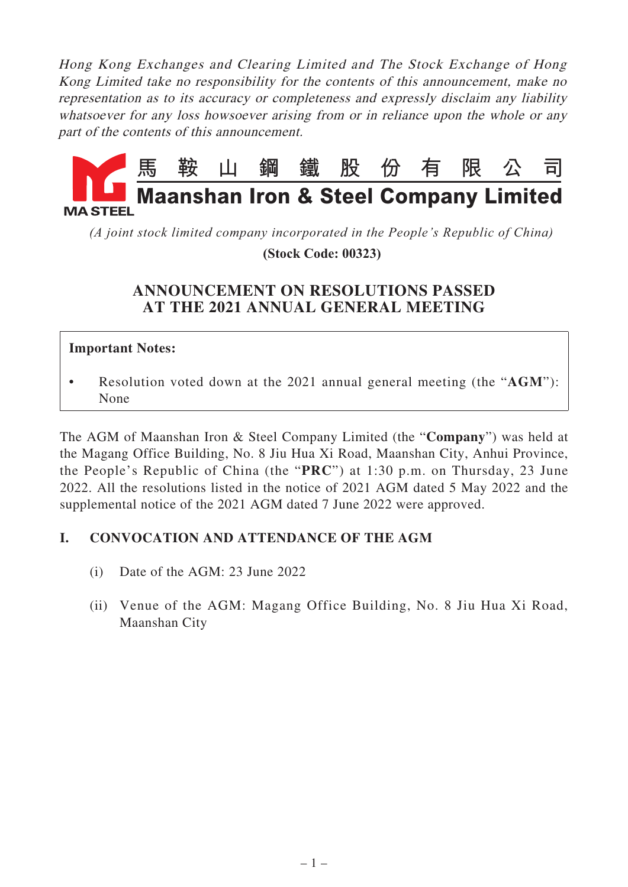Hong Kong Exchanges and Clearing Limited and The Stock Exchange of Hong Kong Limited take no responsibility for the contents of this announcement, make no representation as to its accuracy or completeness and expressly disclaim any liability whatsoever for any loss howsoever arising from or in reliance upon the whole or any part of the contents of this announcement.



*(A joint stock limited company incorporated in the People's Republic of China)*

 **(Stock Code: 00323)**

## **ANNOUNCEMENT ON RESOLUTIONS PASSED AT THE 2021 ANNUAL GENERAL MEETING**

#### **Important Notes:**

• Resolution voted down at the 2021 annual general meeting (the "**AGM**"): None

The AGM of Maanshan Iron & Steel Company Limited (the "**Company**") was held at the Magang Office Building, No. 8 Jiu Hua Xi Road, Maanshan City, Anhui Province, the People's Republic of China (the "**PRC**") at 1:30 p.m. on Thursday, 23 June 2022. All the resolutions listed in the notice of 2021 AGM dated 5 May 2022 and the supplemental notice of the 2021 AGM dated 7 June 2022 were approved.

### **I. CONVOCATION AND ATTENDANCE OF THE AGM**

- (i) Date of the AGM: 23 June 2022
- (ii) Venue of the AGM: Magang Office Building, No. 8 Jiu Hua Xi Road, Maanshan City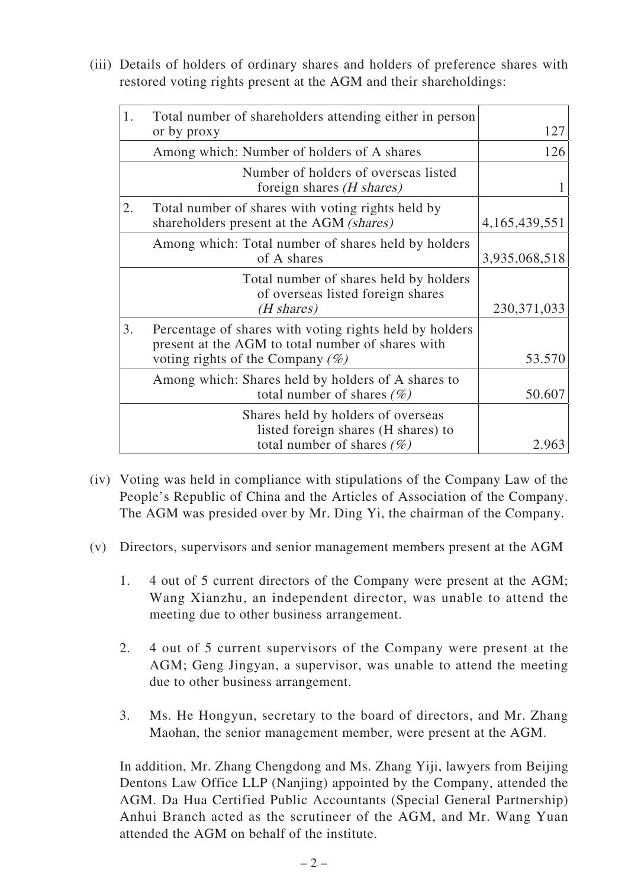(iii) Details of holders of ordinary shares and holders of preference shares with restored voting rights present at the AGM and their shareholdings:

| 1. | Total number of shareholders attending either in person<br>or by proxy                                                                              | 127              |
|----|-----------------------------------------------------------------------------------------------------------------------------------------------------|------------------|
|    | Among which: Number of holders of A shares                                                                                                          | 126              |
|    | Number of holders of overseas listed<br>foreign shares ( <i>H shares</i> )                                                                          |                  |
| 2. | Total number of shares with voting rights held by<br>shareholders present at the AGM (shares)                                                       | 4, 165, 439, 551 |
|    | Among which: Total number of shares held by holders<br>of A shares                                                                                  | 3,935,068,518    |
|    | Total number of shares held by holders<br>of overseas listed foreign shares<br>(H shares)                                                           | 230, 371, 033    |
| 3. | Percentage of shares with voting rights held by holders<br>present at the AGM to total number of shares with<br>voting rights of the Company $(\%)$ | 53.570           |
|    | Among which: Shares held by holders of A shares to<br>total number of shares $(\%)$                                                                 | 50.607           |
|    | Shares held by holders of overseas<br>listed foreign shares (H shares) to                                                                           |                  |
|    | total number of shares $(\%)$                                                                                                                       | 2.963            |

- (iv) Voting was held in compliance with stipulations of the Company Law of the People's Republic of China and the Articles of Association of the Company. The AGM was presided over by Mr. Ding Yi, the chairman of the Company.
- (v) Directors, supervisors and senior management members present at the AGM
	- 1. 4 out of 5 current directors of the Company were present at the AGM; Wang Xianzhu, an independent director, was unable to attend the meeting due to other business arrangement.
	- 2. 4 out of 5 current supervisors of the Company were present at the AGM; Geng Jingyan, a supervisor, was unable to attend the meeting due to other business arrangement.
	- 3. Ms. He Hongyun, secretary to the board of directors, and Mr. Zhang Maohan, the senior management member, were present at the AGM.

In addition, Mr. Zhang Chengdong and Ms. Zhang Yiji, lawyers from Beijing Dentons Law Office LLP (Nanjing) appointed by the Company, attended the AGM. Da Hua Certified Public Accountants (Special General Partnership) Anhui Branch acted as the scrutineer of the AGM, and Mr. Wang Yuan attended the AGM on behalf of the institute.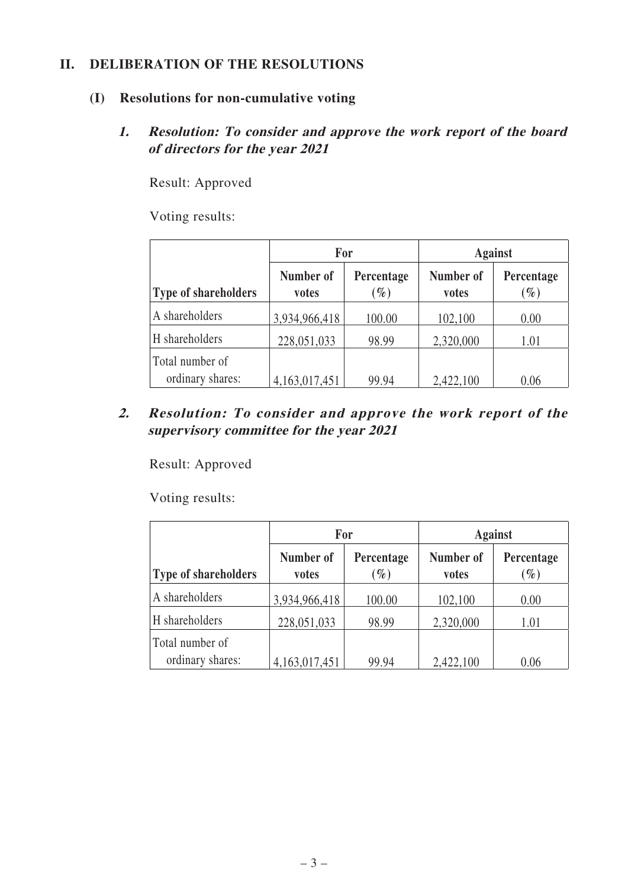#### **II. DELIBERATION OF THE RESOLUTIONS**

#### **(I) Resolutions for non-cumulative voting**

#### **1. Resolution: To consider and approve the work report of the board of directors for the year 2021**

Result: Approved

Voting results:

|                                     | For                |                               | <b>Against</b>     |                               |
|-------------------------------------|--------------------|-------------------------------|--------------------|-------------------------------|
| <b>Type of shareholders</b>         | Number of<br>votes | Percentage<br>$\mathscr{G}_o$ | Number of<br>votes | Percentage<br>$\mathscr{G}_o$ |
| A shareholders                      | 3,934,966,418      | 100.00                        | 102,100            | 0.00                          |
| H shareholders                      | 228,051,033        | 98.99                         | 2,320,000          | 1.01                          |
| Total number of<br>ordinary shares: | 4, 163, 017, 451   | 99.94                         | 2,422,100          | 0.06                          |

### **2. Resolution: To consider and approve the work report of the supervisory committee for the year 2021**

Result: Approved

|                                     | For                |                      | <b>Against</b>     |                      |
|-------------------------------------|--------------------|----------------------|--------------------|----------------------|
| Type of shareholders                | Number of<br>votes | Percentage<br>$(\%)$ | Number of<br>votes | Percentage<br>$(\%)$ |
| A shareholders                      | 3,934,966,418      | 100.00               | 102,100            | 0.00                 |
| H shareholders                      | 228,051,033        | 98.99                | 2,320,000          | 1.01                 |
| Total number of<br>ordinary shares: | 4,163,017,451      | 99.94                | 2,422,100          | 0.06                 |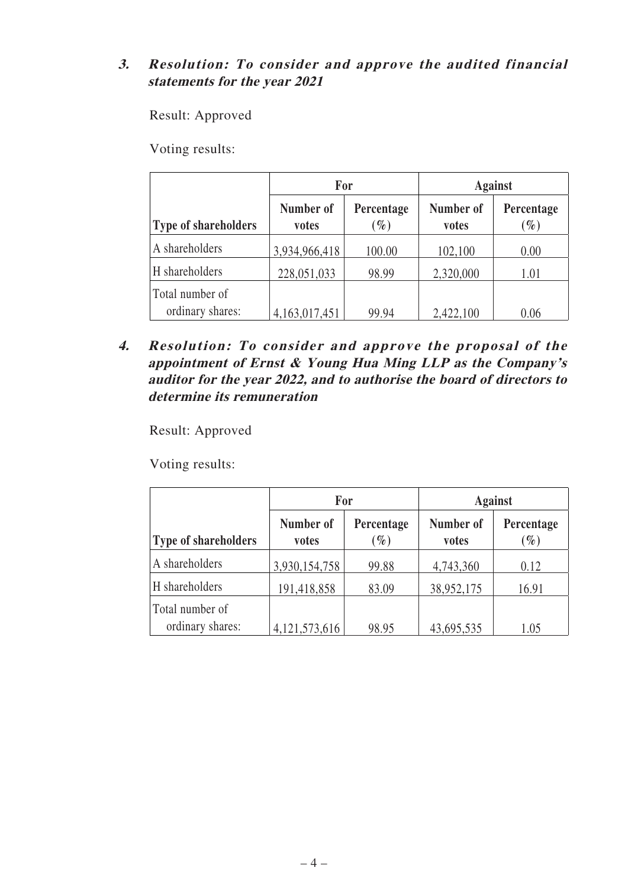### **3. Resolution: To consider and approve the audited financial statements for the year 2021**

Result: Approved

Voting results:

|                                     | <b>For</b>         |                               | <b>Against</b>     |                               |
|-------------------------------------|--------------------|-------------------------------|--------------------|-------------------------------|
| <b>Type of shareholders</b>         | Number of<br>votes | Percentage<br>$\mathscr{G}_o$ | Number of<br>votes | Percentage<br>$\mathscr{G}_o$ |
| A shareholders                      | 3,934,966,418      | 100.00                        | 102,100            | 0.00                          |
| H shareholders                      | 228,051,033        | 98.99                         | 2,320,000          | 1.01                          |
| Total number of<br>ordinary shares: | 4,163,017,451      | 99.94                         | 2,422,100          | 0.06                          |

**4. Resolution: To consider and approve the proposal of the appointment of Ernst & Young Hua Ming LLP as the Company's auditor for the year 2022, and to authorise the board of directors to determine its remuneration**

Result: Approved

|                                     | For                |                               | <b>Against</b>     |                               |
|-------------------------------------|--------------------|-------------------------------|--------------------|-------------------------------|
| Type of shareholders                | Number of<br>votes | Percentage<br>$\mathscr{G}_o$ | Number of<br>votes | Percentage<br>$\mathscr{G}_o$ |
| A shareholders                      | 3,930,154,758      | 99.88                         | 4,743,360          | 0.12                          |
| H shareholders                      | 191,418,858        | 83.09                         | 38,952,175         | 16.91                         |
| Total number of<br>ordinary shares: | 4, 121, 573, 616   | 98.95                         | 43,695,535         | 1.05                          |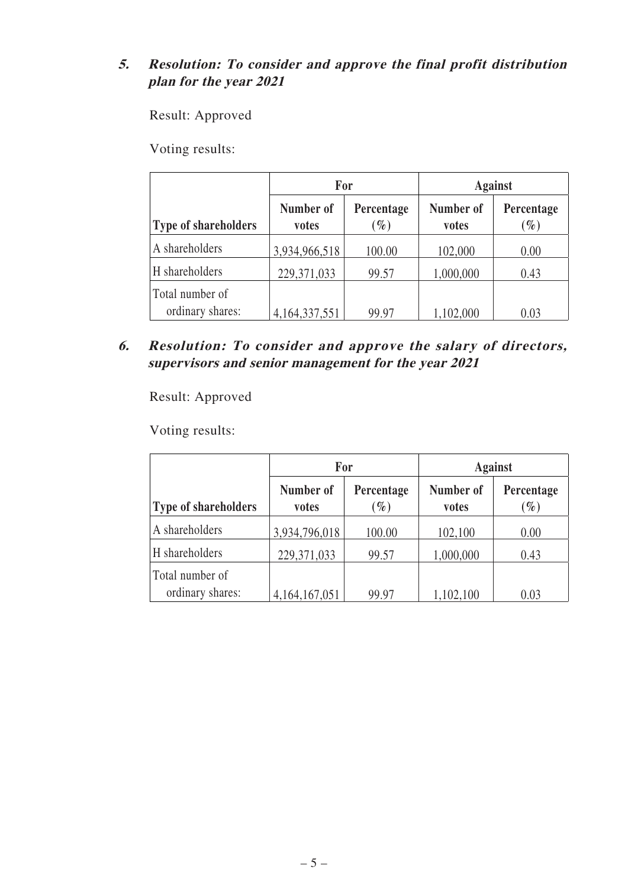## **5. Resolution: To consider and approve the final profit distribution plan for the year 2021**

Result: Approved

Voting results:

|                                     | <b>For</b>         |                               | <b>Against</b>     |                               |
|-------------------------------------|--------------------|-------------------------------|--------------------|-------------------------------|
| <b>Type of shareholders</b>         | Number of<br>votes | Percentage<br>$\mathscr{G}_o$ | Number of<br>votes | Percentage<br>$\mathscr{G}_0$ |
| A shareholders                      | 3,934,966,518      | 100.00                        | 102,000            | 0.00                          |
| H shareholders                      | 229,371,033        | 99.57                         | 1,000,000          | 0.43                          |
| Total number of<br>ordinary shares: | 4, 164, 337, 551   | 99.97                         | 1,102,000          | 0.03                          |

**6. Resolution: To consider and approve the salary of directors, supervisors and senior management for the year 2021**

Result: Approved

|                                     | For                |                               | <b>Against</b>     |                               |  |
|-------------------------------------|--------------------|-------------------------------|--------------------|-------------------------------|--|
| <b>Type of shareholders</b>         | Number of<br>votes | Percentage<br>$\mathscr{G}_o$ | Number of<br>votes | Percentage<br>$\mathscr{G}_o$ |  |
| A shareholders                      | 3,934,796,018      | 100.00                        | 102,100            | 0.00                          |  |
| H shareholders                      | 229, 371, 033      | 99.57                         | 1,000,000          | 0.43                          |  |
| Total number of<br>ordinary shares: | 4, 164, 167, 051   | 99.97                         | 1,102,100          | 0.03                          |  |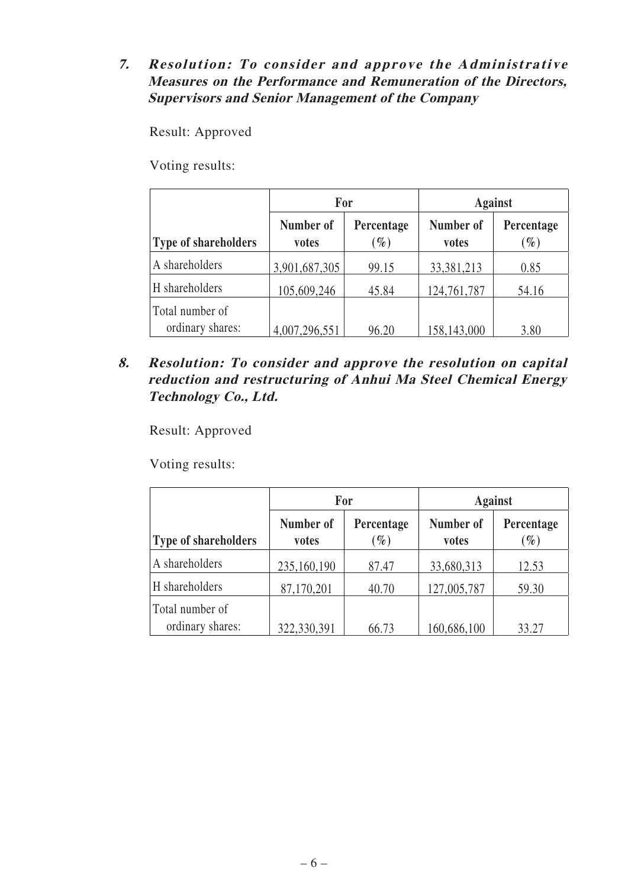### **7. Resolution: To consider and approve the Administrative Measures on the Performance and Remuneration of the Directors, Supervisors and Senior Management of the Company**

Result: Approved

Voting results:

|                                     | For<br>Number of<br>Percentage<br>$\mathscr{G}_o$<br>votes |       | <b>Against</b>     |                      |
|-------------------------------------|------------------------------------------------------------|-------|--------------------|----------------------|
| <b>Type of shareholders</b>         |                                                            |       | Number of<br>votes | Percentage<br>$(\%)$ |
| A shareholders                      | 3,901,687,305                                              | 99.15 | 33,381,213         | 0.85                 |
| H shareholders                      | 105,609,246                                                | 45.84 | 124,761,787        | 54.16                |
| Total number of<br>ordinary shares: | 4,007,296,551                                              | 96.20 | 158,143,000        | 3.80                 |

**8. Resolution: To consider and approve the resolution on capital reduction and restructuring of Anhui Ma Steel Chemical Energy Technology Co., Ltd.**

Result: Approved

|                                     | For                |                      | <b>Against</b>     |                               |
|-------------------------------------|--------------------|----------------------|--------------------|-------------------------------|
| Type of shareholders                | Number of<br>votes | Percentage<br>$(\%)$ | Number of<br>votes | Percentage<br>$\mathscr{G}_o$ |
| A shareholders                      | 235,160,190        | 87.47                | 33,680,313         | 12.53                         |
| H shareholders                      | 87,170,201         | 40.70                | 127,005,787        | 59.30                         |
| Total number of<br>ordinary shares: | 322,330,391        | 66.73                | 160,686,100        | 33.27                         |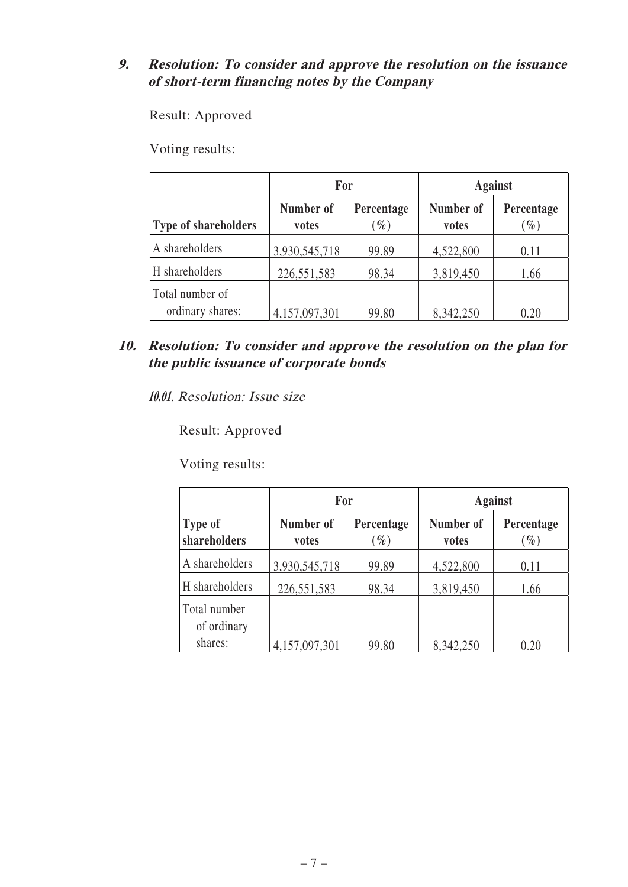### **9. Resolution: To consider and approve the resolution on the issuance of short-term financing notes by the Company**

Result: Approved

Voting results:

|                                     | <b>For</b>         |                    | <b>Against</b>     |                               |
|-------------------------------------|--------------------|--------------------|--------------------|-------------------------------|
| <b>Type of shareholders</b>         | Number of<br>votes | Percentage<br>$\%$ | Number of<br>votes | Percentage<br>$\mathscr{G}_0$ |
| A shareholders                      | 3,930,545,718      | 99.89              | 4,522,800          | 0.11                          |
| H shareholders                      | 226,551,583        | 98.34              | 3,819,450          | 1.66                          |
| Total number of<br>ordinary shares: | 4,157,097,301      | 99.80              | 8,342,250          | 0.20                          |

**10. Resolution: To consider and approve the resolution on the plan for the public issuance of corporate bonds**

**10.01**. Resolution: Issue size

Result: Approved

|                             | For                |                      | <b>Against</b>     |                      |  |
|-----------------------------|--------------------|----------------------|--------------------|----------------------|--|
| Type of<br>shareholders     | Number of<br>votes | Percentage<br>$(\%)$ | Number of<br>votes | Percentage<br>$(\%)$ |  |
| A shareholders              | 3,930,545,718      | 99.89                | 4,522,800          | 0.11                 |  |
| H shareholders              | 226,551,583        | 98.34                | 3,819,450          | 1.66                 |  |
| Total number<br>of ordinary |                    |                      |                    |                      |  |
| shares:                     | 4,157,097,301      | 99.80                | 8,342,250          | 0.20                 |  |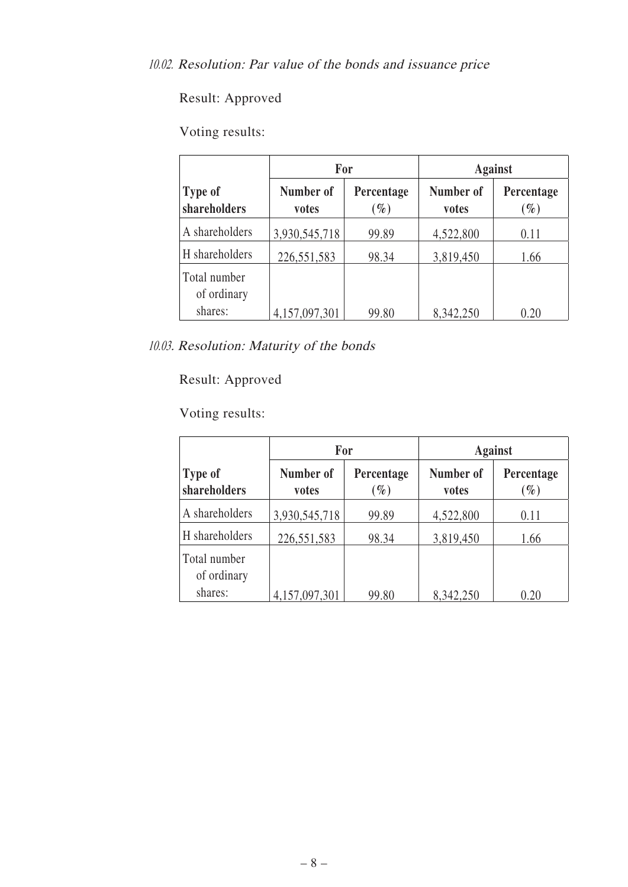# Voting results:

|                                |                    | For                  | <b>Against</b>     |                      |  |
|--------------------------------|--------------------|----------------------|--------------------|----------------------|--|
| <b>Type of</b><br>shareholders | Number of<br>votes | Percentage<br>$(\%)$ | Number of<br>votes | Percentage<br>$(\%)$ |  |
| A shareholders                 | 3,930,545,718      | 99.89                | 4,522,800          | 0.11                 |  |
| H shareholders                 | 226,551,583        | 98.34                | 3,819,450          | 1.66                 |  |
| Total number<br>of ordinary    |                    |                      |                    |                      |  |
| shares:                        | 4,157,097,301      | 99.80                | 8,342,250          | 0.20                 |  |

10.03. Resolution: Maturity of the bonds

# Result: Approved

|                             |                    | For                  | <b>Against</b>     |                      |  |
|-----------------------------|--------------------|----------------------|--------------------|----------------------|--|
| Type of<br>shareholders     | Number of<br>votes | Percentage<br>$(\%)$ | Number of<br>votes | Percentage<br>$(\%)$ |  |
| A shareholders              | 3,930,545,718      | 99.89                | 4,522,800          | 0.11                 |  |
| H shareholders              | 226,551,583        | 98.34                | 3,819,450          | 1.66                 |  |
| Total number<br>of ordinary |                    |                      |                    |                      |  |
| shares:                     | 4,157,097,301      | 99.80                | 8,342,250          | 0.20                 |  |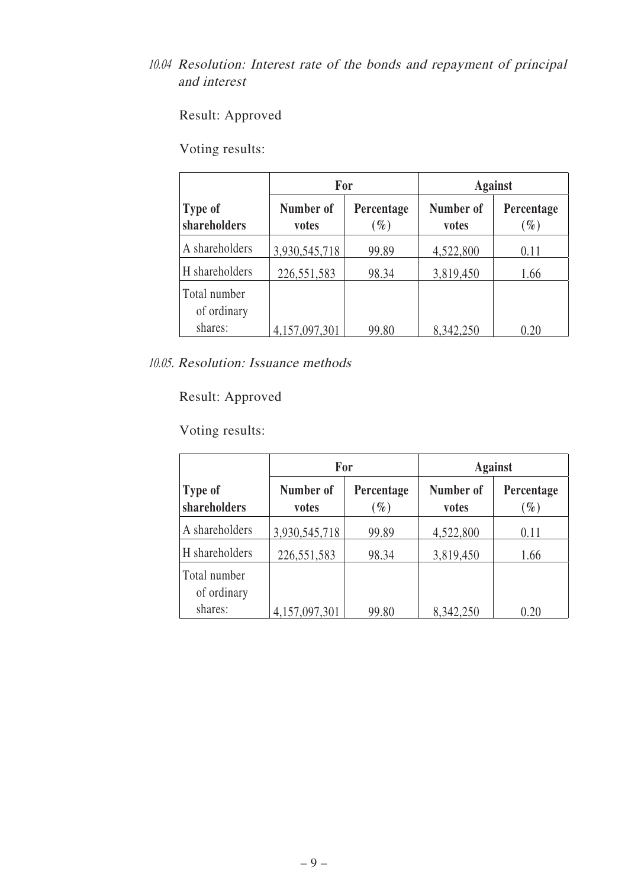## 10.04 Resolution: Interest rate of the bonds and repayment of principal and interest

Result: Approved

Voting results:

|                                | For                |                      | <b>Against</b>     |                      |  |
|--------------------------------|--------------------|----------------------|--------------------|----------------------|--|
| <b>Type of</b><br>shareholders | Number of<br>votes | Percentage<br>$(\%)$ | Number of<br>votes | Percentage<br>$(\%)$ |  |
| A shareholders                 | 3,930,545,718      | 99.89                | 4,522,800          | 0.11                 |  |
| H shareholders                 | 226,551,583        | 98.34                | 3,819,450          | 1.66                 |  |
| Total number<br>of ordinary    |                    |                      |                    |                      |  |
| shares:                        | 4,157,097,301      | 99.80                | 8,342,250          | 0.20                 |  |

10.05. Resolution: Issuance methods

Result: Approved

|                                | For                |                      | <b>Against</b>     |                      |  |
|--------------------------------|--------------------|----------------------|--------------------|----------------------|--|
| <b>Type of</b><br>shareholders | Number of<br>votes | Percentage<br>$(\%)$ | Number of<br>votes | Percentage<br>$(\%)$ |  |
| A shareholders                 | 3,930,545,718      | 99.89                | 4,522,800          | 0.11                 |  |
| H shareholders                 | 226,551,583        | 98.34                | 3,819,450          | 1.66                 |  |
| Total number<br>of ordinary    |                    |                      |                    |                      |  |
| shares:                        | 4,157,097,301      | 99.80                | 8,342,250          | 0.20                 |  |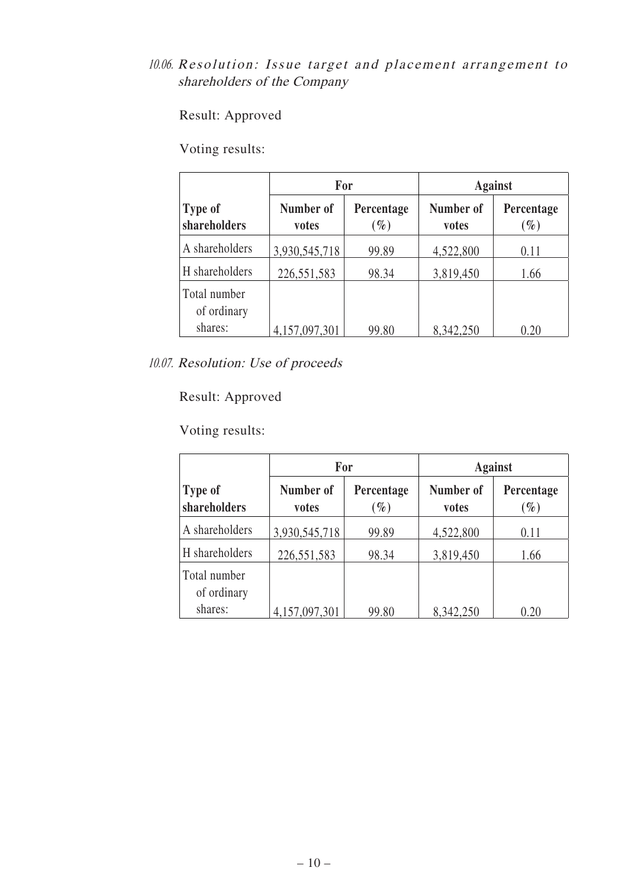## 10.06. Resolution: Issue target and placement arrangement to shareholders of the Company

Result: Approved

Voting results:

|                                | For                |                               | <b>Against</b>     |                      |  |
|--------------------------------|--------------------|-------------------------------|--------------------|----------------------|--|
| <b>Type of</b><br>shareholders | Number of<br>votes | Percentage<br>$\mathscr{G}_o$ | Number of<br>votes | Percentage<br>$(\%)$ |  |
| A shareholders                 | 3,930,545,718      | 99.89                         | 4,522,800          | 0.11                 |  |
| H shareholders                 | 226,551,583        | 98.34                         | 3,819,450          | 1.66                 |  |
| Total number<br>of ordinary    |                    |                               |                    |                      |  |
| shares:                        | 4,157,097,301      | 99.80                         | 8,342,250          | 0.20                 |  |

10.07. Resolution: Use of proceeds

Result: Approved

|                                | For                |                      | <b>Against</b>     |                      |  |
|--------------------------------|--------------------|----------------------|--------------------|----------------------|--|
| <b>Type of</b><br>shareholders | Number of<br>votes | Percentage<br>$(\%)$ | Number of<br>votes | Percentage<br>$(\%)$ |  |
| A shareholders                 | 3,930,545,718      | 99.89                | 4,522,800          | 0.11                 |  |
| H shareholders                 | 226,551,583        | 98.34                | 3,819,450          | 1.66                 |  |
| Total number<br>of ordinary    |                    |                      |                    |                      |  |
| shares:                        | 4,157,097,301      | 99.80                | 8,342,250          | 0.20                 |  |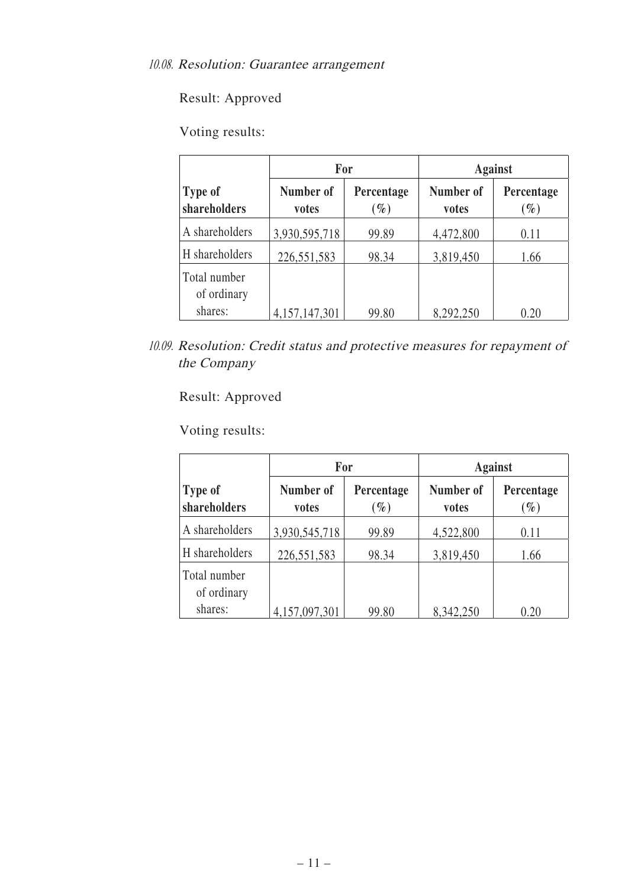# Voting results:

|                                | For                |                      | <b>Against</b>     |                      |  |
|--------------------------------|--------------------|----------------------|--------------------|----------------------|--|
| <b>Type of</b><br>shareholders | Number of<br>votes | Percentage<br>$(\%)$ | Number of<br>votes | Percentage<br>$(\%)$ |  |
| A shareholders                 | 3,930,595,718      | 99.89                | 4,472,800          | 0.11                 |  |
| H shareholders                 | 226,551,583        | 98.34                | 3,819,450          | 1.66                 |  |
| Total number<br>of ordinary    |                    |                      |                    |                      |  |
| shares:                        | 4, 157, 147, 301   | 99.80                | 8,292,250          | 0.20                 |  |

<sup>10.09.</sup> Resolution: Credit status and protective measures for repayment of the Company

# Result: Approved

|                                | For                |                      | <b>Against</b>     |                      |  |
|--------------------------------|--------------------|----------------------|--------------------|----------------------|--|
| <b>Type of</b><br>shareholders | Number of<br>votes | Percentage<br>$(\%)$ | Number of<br>votes | Percentage<br>$(\%)$ |  |
| A shareholders                 | 3,930,545,718      | 99.89                | 4,522,800          | 0.11                 |  |
| H shareholders                 | 226,551,583        | 98.34                | 3,819,450          | 1.66                 |  |
| Total number<br>of ordinary    |                    |                      |                    |                      |  |
| shares:                        | 4,157,097,301      | 99.80                | 8,342,250          | 0.20                 |  |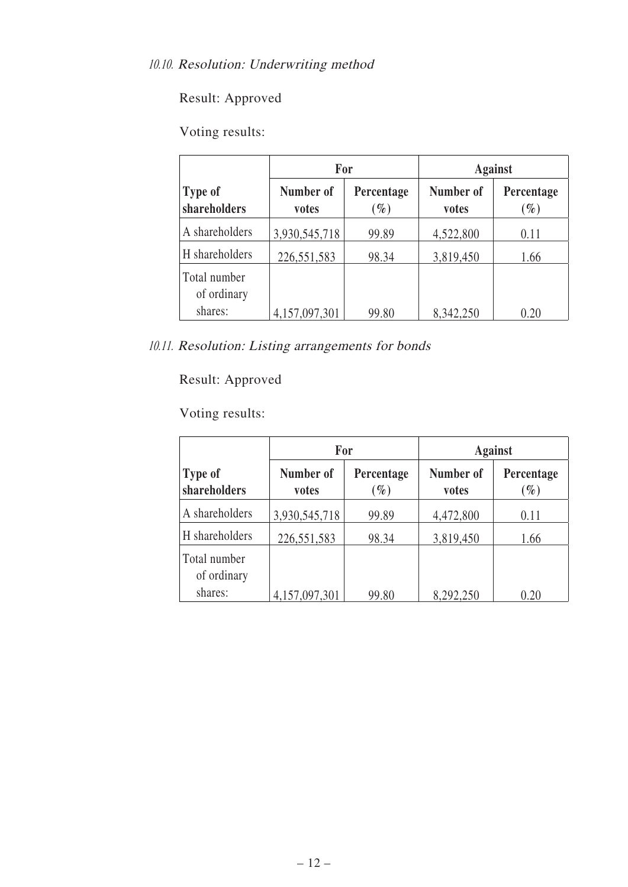# Voting results:

|                                |                    | For                  | <b>Against</b>     |                      |  |
|--------------------------------|--------------------|----------------------|--------------------|----------------------|--|
| <b>Type of</b><br>shareholders | Number of<br>votes | Percentage<br>$(\%)$ | Number of<br>votes | Percentage<br>$(\%)$ |  |
| A shareholders                 | 3,930,545,718      | 99.89                | 4,522,800          | 0.11                 |  |
| H shareholders                 | 226,551,583        | 98.34                | 3,819,450          | 1.66                 |  |
| Total number<br>of ordinary    |                    |                      |                    |                      |  |
| shares:                        | 4,157,097,301      | 99.80                | 8,342,250          | 0.20                 |  |

10.11. Resolution: Listing arrangements for bonds

# Result: Approved

|                             | For                |                      | <b>Against</b>     |                      |  |
|-----------------------------|--------------------|----------------------|--------------------|----------------------|--|
| Type of<br>shareholders     | Number of<br>votes | Percentage<br>$(\%)$ | Number of<br>votes | Percentage<br>$(\%)$ |  |
| A shareholders              | 3,930,545,718      | 99.89                | 4,472,800          | 0.11                 |  |
| H shareholders              | 226,551,583        | 98.34                | 3,819,450          | 1.66                 |  |
| Total number<br>of ordinary |                    |                      |                    |                      |  |
| shares:                     | 4,157,097,301      | 99.80                | 8,292,250          | 0.20                 |  |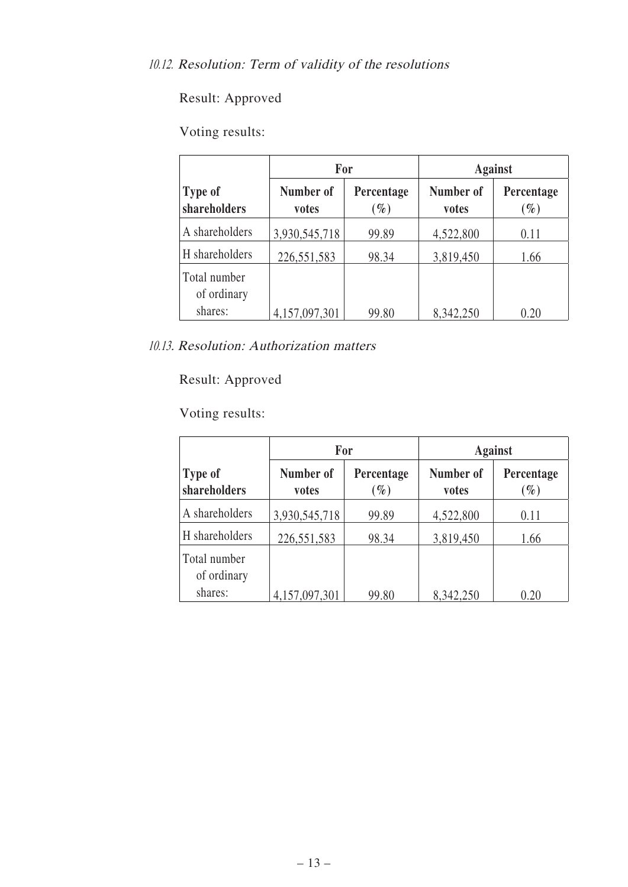# Voting results:

|                                |                    | For                  | <b>Against</b>     |                      |  |
|--------------------------------|--------------------|----------------------|--------------------|----------------------|--|
| <b>Type of</b><br>shareholders | Number of<br>votes | Percentage<br>$(\%)$ | Number of<br>votes | Percentage<br>$(\%)$ |  |
| A shareholders                 | 3,930,545,718      | 99.89                | 4,522,800          | 0.11                 |  |
| H shareholders                 | 226,551,583        | 98.34                | 3,819,450          | 1.66                 |  |
| Total number<br>of ordinary    |                    |                      |                    |                      |  |
| shares:                        | 4,157,097,301      | 99.80                | 8,342,250          | 0.20                 |  |

10.13. Resolution: Authorization matters

# Result: Approved

|                             | For                |                      | <b>Against</b>     |                      |  |
|-----------------------------|--------------------|----------------------|--------------------|----------------------|--|
| Type of<br>shareholders     | Number of<br>votes | Percentage<br>$(\%)$ | Number of<br>votes | Percentage<br>$(\%)$ |  |
| A shareholders              | 3,930,545,718      | 99.89                | 4,522,800          | 0.11                 |  |
| H shareholders              | 226,551,583        | 98.34                | 3,819,450          | 1.66                 |  |
| Total number<br>of ordinary |                    |                      |                    |                      |  |
| shares:                     | 4,157,097,301      | 99.80                | 8,342,250          | 0.20                 |  |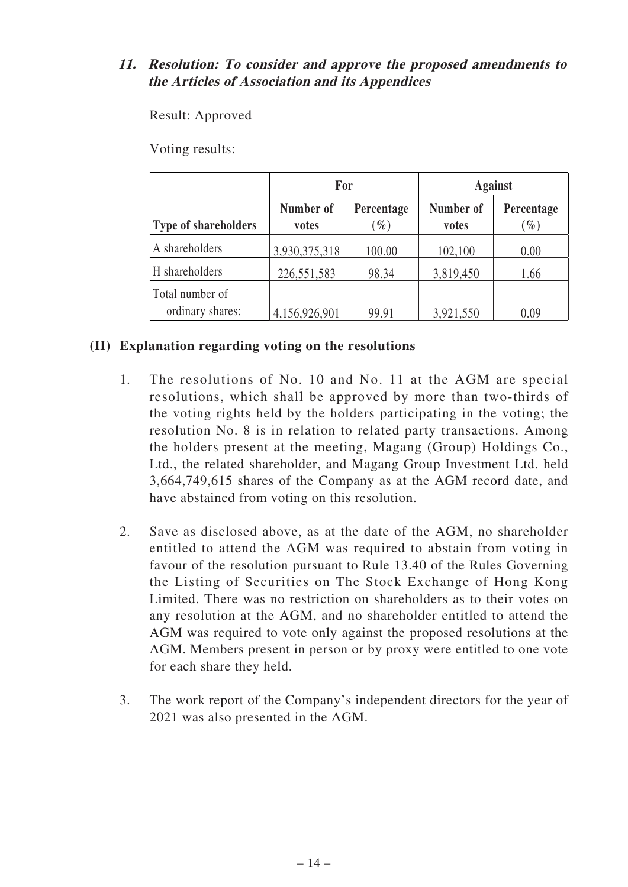### **11. Resolution: To consider and approve the proposed amendments to the Articles of Association and its Appendices**

Result: Approved

Voting results:

|                                     | For                |                      | <b>Against</b>     |                               |  |
|-------------------------------------|--------------------|----------------------|--------------------|-------------------------------|--|
| <b>Type of shareholders</b>         | Number of<br>votes | Percentage<br>$(\%)$ | Number of<br>votes | Percentage<br>$\mathscr{G}_o$ |  |
| A shareholders                      | 3,930,375,318      | 100.00               | 102,100            | 0.00                          |  |
| H shareholders                      | 226,551,583        | 98.34                | 3,819,450          | 1.66                          |  |
| Total number of<br>ordinary shares: | 4,156,926,901      | 99.91                | 3,921,550          | 0.09                          |  |

### **(II) Explanation regarding voting on the resolutions**

- 1. The resolutions of No. 10 and No. 11 at the AGM are special resolutions, which shall be approved by more than two-thirds of the voting rights held by the holders participating in the voting; the resolution No. 8 is in relation to related party transactions. Among the holders present at the meeting, Magang (Group) Holdings Co., Ltd., the related shareholder, and Magang Group Investment Ltd. held 3,664,749,615 shares of the Company as at the AGM record date, and have abstained from voting on this resolution.
- 2. Save as disclosed above, as at the date of the AGM, no shareholder entitled to attend the AGM was required to abstain from voting in favour of the resolution pursuant to Rule 13.40 of the Rules Governing the Listing of Securities on The Stock Exchange of Hong Kong Limited. There was no restriction on shareholders as to their votes on any resolution at the AGM, and no shareholder entitled to attend the AGM was required to vote only against the proposed resolutions at the AGM. Members present in person or by proxy were entitled to one vote for each share they held.
- 3. The work report of the Company's independent directors for the year of 2021 was also presented in the AGM.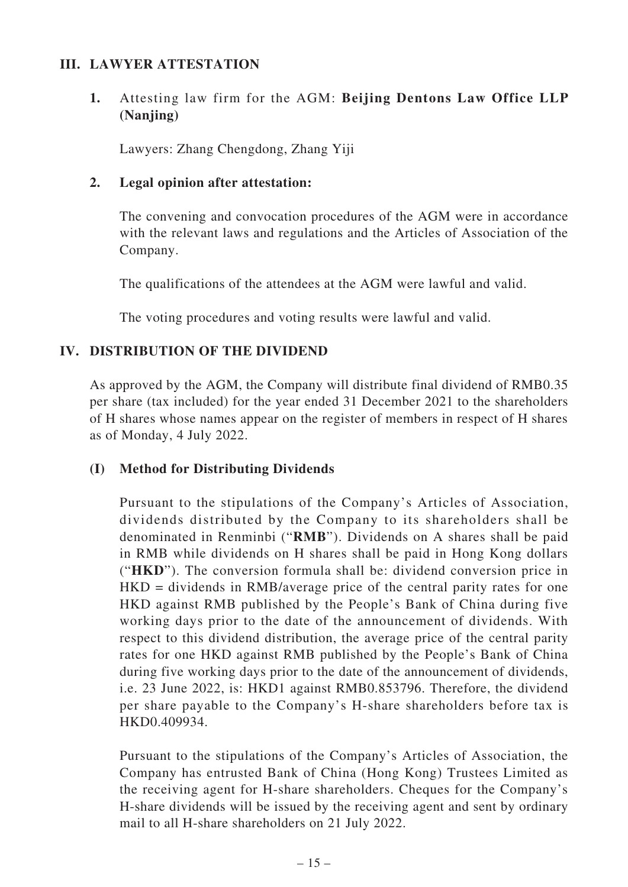#### **III. LAWYER ATTESTATION**

### **1.** Attesting law firm for the AGM: **Beijing Dentons Law Office LLP (Nanjing)**

Lawyers: Zhang Chengdong, Zhang Yiji

#### **2. Legal opinion after attestation:**

The convening and convocation procedures of the AGM were in accordance with the relevant laws and regulations and the Articles of Association of the Company.

The qualifications of the attendees at the AGM were lawful and valid.

The voting procedures and voting results were lawful and valid.

### **IV. DISTRIBUTION OF THE DIVIDEND**

As approved by the AGM, the Company will distribute final dividend of RMB0.35 per share (tax included) for the year ended 31 December 2021 to the shareholders of H shares whose names appear on the register of members in respect of H shares as of Monday, 4 July 2022.

#### **(I) Method for Distributing Dividends**

Pursuant to the stipulations of the Company's Articles of Association, dividends distributed by the Company to its shareholders shall be denominated in Renminbi ("**RMB**"). Dividends on A shares shall be paid in RMB while dividends on H shares shall be paid in Hong Kong dollars ("**HKD**"). The conversion formula shall be: dividend conversion price in HKD = dividends in RMB/average price of the central parity rates for one HKD against RMB published by the People's Bank of China during five working days prior to the date of the announcement of dividends. With respect to this dividend distribution, the average price of the central parity rates for one HKD against RMB published by the People's Bank of China during five working days prior to the date of the announcement of dividends, i.e. 23 June 2022, is: HKD1 against RMB0.853796. Therefore, the dividend per share payable to the Company's H-share shareholders before tax is HKD0.409934.

Pursuant to the stipulations of the Company's Articles of Association, the Company has entrusted Bank of China (Hong Kong) Trustees Limited as the receiving agent for H-share shareholders. Cheques for the Company's H-share dividends will be issued by the receiving agent and sent by ordinary mail to all H-share shareholders on 21 July 2022.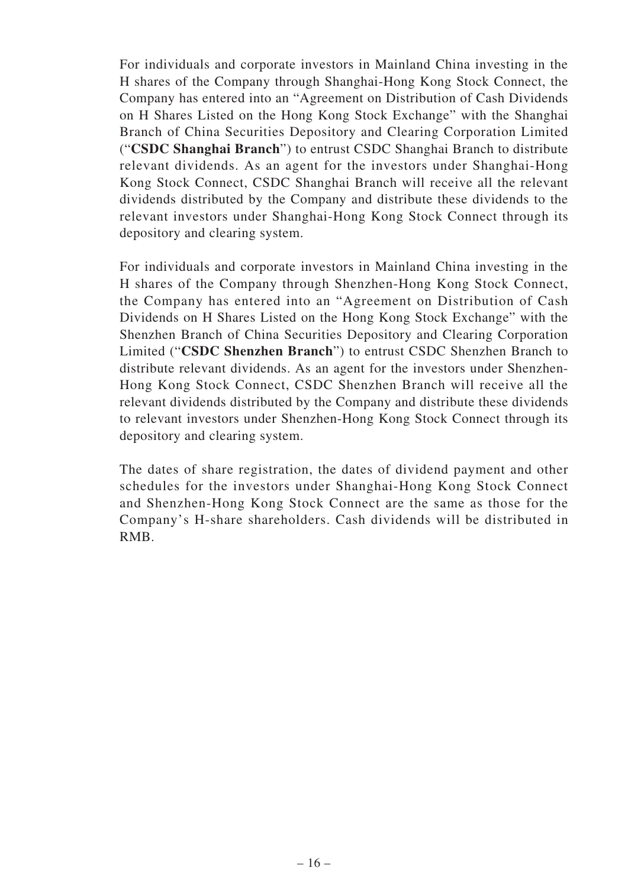For individuals and corporate investors in Mainland China investing in the H shares of the Company through Shanghai-Hong Kong Stock Connect, the Company has entered into an "Agreement on Distribution of Cash Dividends on H Shares Listed on the Hong Kong Stock Exchange" with the Shanghai Branch of China Securities Depository and Clearing Corporation Limited ("**CSDC Shanghai Branch**") to entrust CSDC Shanghai Branch to distribute relevant dividends. As an agent for the investors under Shanghai-Hong Kong Stock Connect, CSDC Shanghai Branch will receive all the relevant dividends distributed by the Company and distribute these dividends to the relevant investors under Shanghai-Hong Kong Stock Connect through its depository and clearing system.

For individuals and corporate investors in Mainland China investing in the H shares of the Company through Shenzhen-Hong Kong Stock Connect, the Company has entered into an "Agreement on Distribution of Cash Dividends on H Shares Listed on the Hong Kong Stock Exchange" with the Shenzhen Branch of China Securities Depository and Clearing Corporation Limited ("**CSDC Shenzhen Branch**") to entrust CSDC Shenzhen Branch to distribute relevant dividends. As an agent for the investors under Shenzhen-Hong Kong Stock Connect, CSDC Shenzhen Branch will receive all the relevant dividends distributed by the Company and distribute these dividends to relevant investors under Shenzhen-Hong Kong Stock Connect through its depository and clearing system.

The dates of share registration, the dates of dividend payment and other schedules for the investors under Shanghai-Hong Kong Stock Connect and Shenzhen-Hong Kong Stock Connect are the same as those for the Company's H-share shareholders. Cash dividends will be distributed in RMB.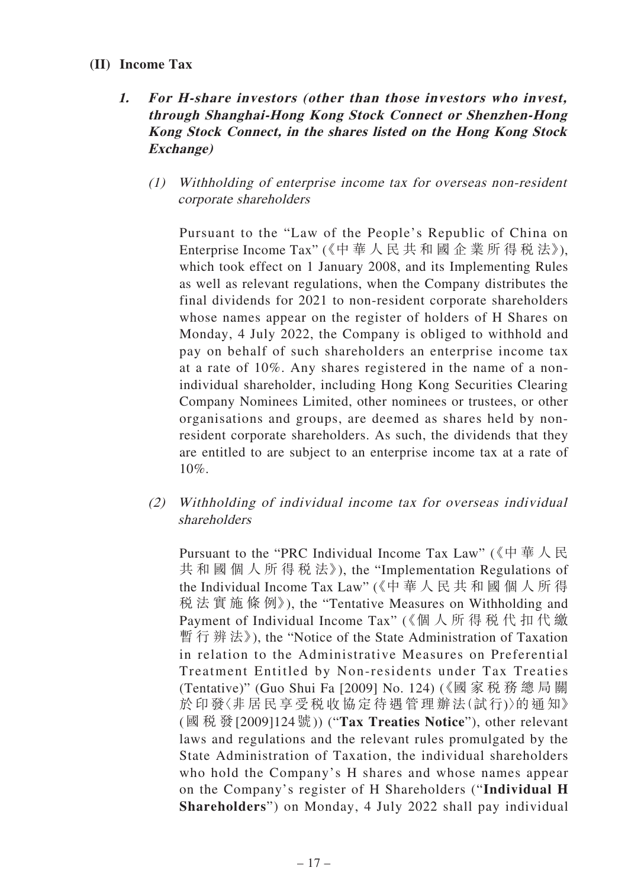#### **(II) Income Tax**

## **1. For H-share investors (other than those investors who invest, through Shanghai-Hong Kong Stock Connect or Shenzhen-Hong Kong Stock Connect, in the shares listed on the Hong Kong Stock Exchange)**

(1) Withholding of enterprise income tax for overseas non-resident corporate shareholders

Pursuant to the "Law of the People's Republic of China on Enterprise Income Tax" (《中 華 人 民 共 和 國 企 業 所 得 稅 法》), which took effect on 1 January 2008, and its Implementing Rules as well as relevant regulations, when the Company distributes the final dividends for 2021 to non-resident corporate shareholders whose names appear on the register of holders of H Shares on Monday, 4 July 2022, the Company is obliged to withhold and pay on behalf of such shareholders an enterprise income tax at a rate of 10%. Any shares registered in the name of a nonindividual shareholder, including Hong Kong Securities Clearing Company Nominees Limited, other nominees or trustees, or other organisations and groups, are deemed as shares held by nonresident corporate shareholders. As such, the dividends that they are entitled to are subject to an enterprise income tax at a rate of 10%.

(2) Withholding of individual income tax for overseas individual shareholders

Pursuant to the "PRC Individual Income Tax Law" (《中華人民 共 和 國 個 人 所 得 稅 法》), the "Implementation Regulations of the Individual Income Tax Law" (《中 華 人 民 共 和 國 個 人 所 得 稅 法 實 施 條 例》), the "Tentative Measures on Withholding and Payment of Individual Income Tax" (《個 人 所 得 稅 代 扣 代 繳 暫 行 辨 法》), the "Notice of the State Administration of Taxation in relation to the Administrative Measures on Preferential Treatment Entitled by Non-residents under Tax Treaties (Tentative)" (Guo Shui Fa [2009] No. 124) (《國 家 稅 務 總 局 關 於印發〈非居民享受稅收協定待遇管理辦法(試行)〉的通知》 (國稅發[2009]124號)) ("**Tax Treaties Notice**"), other relevant laws and regulations and the relevant rules promulgated by the State Administration of Taxation, the individual shareholders who hold the Company's H shares and whose names appear on the Company's register of H Shareholders ("**Individual H Shareholders**") on Monday, 4 July 2022 shall pay individual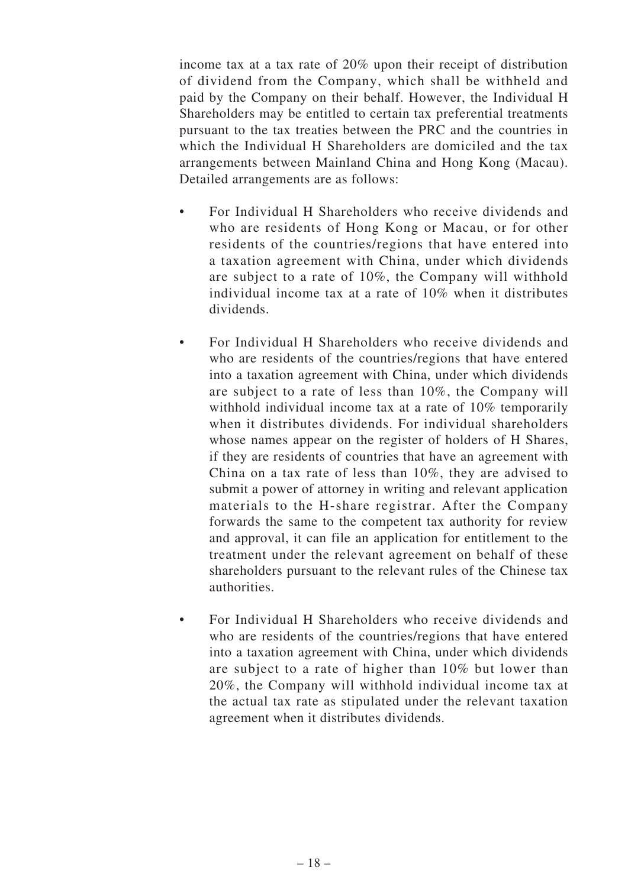income tax at a tax rate of 20% upon their receipt of distribution of dividend from the Company, which shall be withheld and paid by the Company on their behalf. However, the Individual H Shareholders may be entitled to certain tax preferential treatments pursuant to the tax treaties between the PRC and the countries in which the Individual H Shareholders are domiciled and the tax arrangements between Mainland China and Hong Kong (Macau). Detailed arrangements are as follows:

- For Individual H Shareholders who receive dividends and who are residents of Hong Kong or Macau, or for other residents of the countries/regions that have entered into a taxation agreement with China, under which dividends are subject to a rate of 10%, the Company will withhold individual income tax at a rate of 10% when it distributes dividends.
- For Individual H Shareholders who receive dividends and who are residents of the countries/regions that have entered into a taxation agreement with China, under which dividends are subject to a rate of less than 10%, the Company will withhold individual income tax at a rate of 10% temporarily when it distributes dividends. For individual shareholders whose names appear on the register of holders of H Shares, if they are residents of countries that have an agreement with China on a tax rate of less than 10%, they are advised to submit a power of attorney in writing and relevant application materials to the H-share registrar. After the Company forwards the same to the competent tax authority for review and approval, it can file an application for entitlement to the treatment under the relevant agreement on behalf of these shareholders pursuant to the relevant rules of the Chinese tax authorities.
- For Individual H Shareholders who receive dividends and who are residents of the countries/regions that have entered into a taxation agreement with China, under which dividends are subject to a rate of higher than 10% but lower than 20%, the Company will withhold individual income tax at the actual tax rate as stipulated under the relevant taxation agreement when it distributes dividends.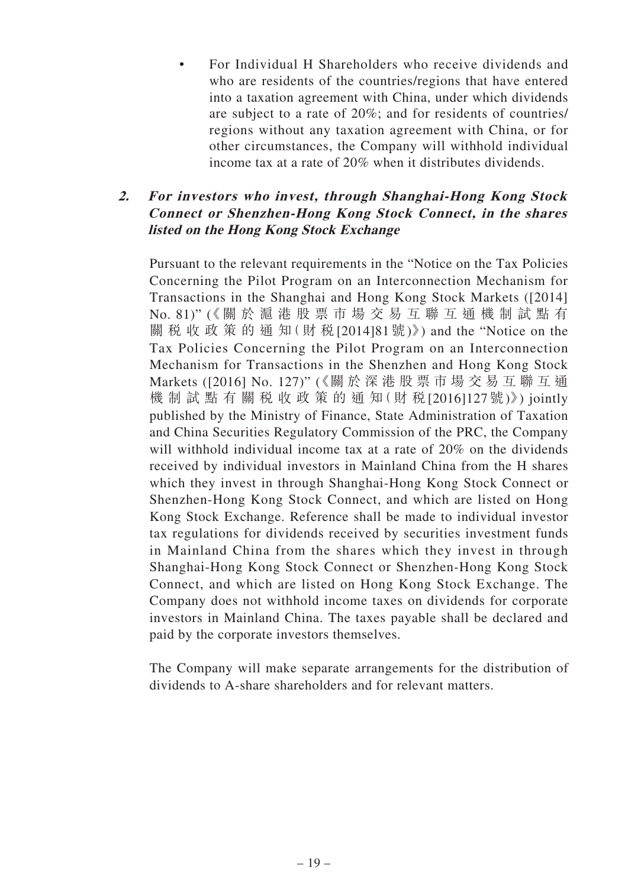• For Individual H Shareholders who receive dividends and who are residents of the countries/regions that have entered into a taxation agreement with China, under which dividends are subject to a rate of 20%; and for residents of countries/ regions without any taxation agreement with China, or for other circumstances, the Company will withhold individual income tax at a rate of 20% when it distributes dividends.

### **2. For investors who invest, through Shanghai-Hong Kong Stock Connect or Shenzhen-Hong Kong Stock Connect, in the shares listed on the Hong Kong Stock Exchange**

Pursuant to the relevant requirements in the "Notice on the Tax Policies Concerning the Pilot Program on an Interconnection Mechanism for Transactions in the Shanghai and Hong Kong Stock Markets ([2014] No. 81)" (《關 於 滬 港 股 票 市 場 交 易 互 聯 互 通 機 制 試 點 有 關 稅 收 政 策 的 通 知( 財 稅[2014]81號)》) and the "Notice on the Tax Policies Concerning the Pilot Program on an Interconnection Mechanism for Transactions in the Shenzhen and Hong Kong Stock Markets ([2016] No. 127)" (《關 於 深 港 股 票 市 場 交 易 互 聯 互 通 機 制 試 點 有 關 稅 收 政 策 的 通 知(財 稅[2016]127號)》) jointly published by the Ministry of Finance, State Administration of Taxation and China Securities Regulatory Commission of the PRC, the Company will withhold individual income tax at a rate of 20% on the dividends received by individual investors in Mainland China from the H shares which they invest in through Shanghai-Hong Kong Stock Connect or Shenzhen-Hong Kong Stock Connect, and which are listed on Hong Kong Stock Exchange. Reference shall be made to individual investor tax regulations for dividends received by securities investment funds in Mainland China from the shares which they invest in through Shanghai-Hong Kong Stock Connect or Shenzhen-Hong Kong Stock Connect, and which are listed on Hong Kong Stock Exchange. The Company does not withhold income taxes on dividends for corporate investors in Mainland China. The taxes payable shall be declared and paid by the corporate investors themselves.

The Company will make separate arrangements for the distribution of dividends to A-share shareholders and for relevant matters.